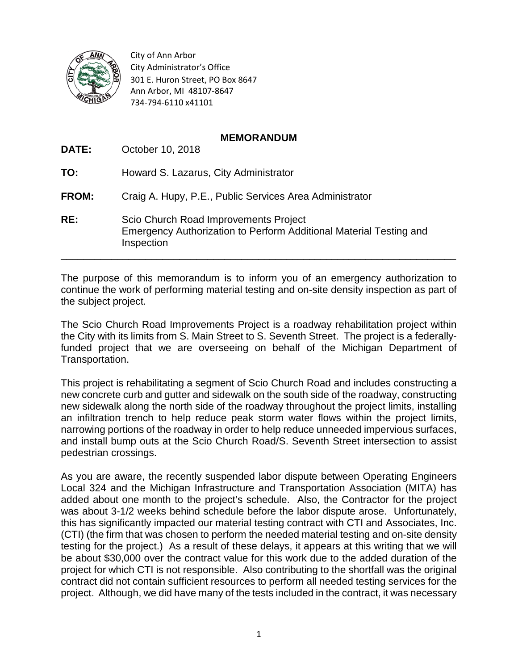

City of Ann Arbor City Administrator's Office 301 E. Huron Street, PO Box 8647 Ann Arbor, MI 48107-8647 734-794-6110 x41101

## **MEMORANDUM**

| DATE:        | October 10, 2018                                                                                                          |
|--------------|---------------------------------------------------------------------------------------------------------------------------|
| TO:          | Howard S. Lazarus, City Administrator                                                                                     |
| <b>FROM:</b> | Craig A. Hupy, P.E., Public Services Area Administrator                                                                   |
| RE:          | Scio Church Road Improvements Project<br>Emergency Authorization to Perform Additional Material Testing and<br>Inspection |

The purpose of this memorandum is to inform you of an emergency authorization to continue the work of performing material testing and on-site density inspection as part of the subject project.

The Scio Church Road Improvements Project is a roadway rehabilitation project within the City with its limits from S. Main Street to S. Seventh Street. The project is a federallyfunded project that we are overseeing on behalf of the Michigan Department of Transportation.

This project is rehabilitating a segment of Scio Church Road and includes constructing a new concrete curb and gutter and sidewalk on the south side of the roadway, constructing new sidewalk along the north side of the roadway throughout the project limits, installing an infiltration trench to help reduce peak storm water flows within the project limits, narrowing portions of the roadway in order to help reduce unneeded impervious surfaces, and install bump outs at the Scio Church Road/S. Seventh Street intersection to assist pedestrian crossings.

As you are aware, the recently suspended labor dispute between Operating Engineers Local 324 and the Michigan Infrastructure and Transportation Association (MITA) has added about one month to the project's schedule. Also, the Contractor for the project was about 3-1/2 weeks behind schedule before the labor dispute arose. Unfortunately, this has significantly impacted our material testing contract with CTI and Associates, Inc. (CTI) (the firm that was chosen to perform the needed material testing and on-site density testing for the project.) As a result of these delays, it appears at this writing that we will be about \$30,000 over the contract value for this work due to the added duration of the project for which CTI is not responsible. Also contributing to the shortfall was the original contract did not contain sufficient resources to perform all needed testing services for the project. Although, we did have many of the tests included in the contract, it was necessary